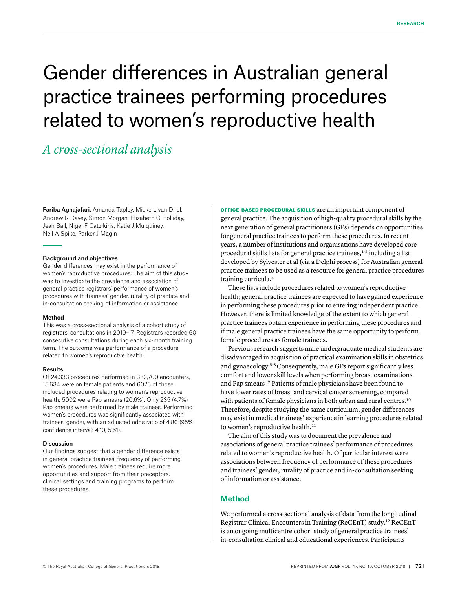# Gender differences in Australian general practice trainees performing procedures related to women's reproductive health

# *A cross-sectional analysis*

Fariba Aghajafari, Amanda Tapley, Mieke L van Driel, Andrew R Davey, Simon Morgan, Elizabeth G Holliday, Jean Ball, Nigel F Catzikiris, Katie J Mulquiney, Neil A Spike, Parker J Magin

# Background and objectives

Gender differences may exist in the performance of women's reproductive procedures. The aim of this study was to investigate the prevalence and association of general practice registrars' performance of women's procedures with trainees' gender, rurality of practice and in-consultation seeking of information or assistance.

#### Method

This was a cross-sectional analysis of a cohort study of registrars' consultations in 2010–17. Registrars recorded 60 consecutive consultations during each six-month training term. The outcome was performance of a procedure related to women's reproductve health.

# Results

Of 24,333 procedures performed in 332,700 encounters, 15,634 were on female patients and 6025 of those included procedures relating to women's reproductive health; 5002 were Pap smears (20.6%). Only 235 (4.7%) Pap smears were performed by male trainees. Performing women's procedures was significantly associated with trainees' gender, with an adjusted odds ratio of 4.80 (95% confidence interval: 4.10, 5.61).

### Discussion

Our findings suggest that a gender difference exists in general practice trainees' frequency of performing women's procedures. Male trainees require more opportunities and support from their preceptors, clinical settings and training programs to perform these procedures.

OFFICE-BASED PROCEDURAL SKILLS are an important component of general practice. The acquisition of high-quality procedural skills by the next generation of general practitioners (GPs) depends on opportunities for general practice trainees to perform these procedures. In recent years, a number of institutions and organisations have developed core procedural skills lists for general practice trainees, $1-3$  including a list developed by Sylvester et al (via a Delphi process) for Australian general practice trainees to be used as a resource for general practice procedures training curricula.4

These lists include procedures related to women's reproductive health; general practice trainees are expected to have gained experience in performing these procedures prior to entering independent practice. However, there is limited knowledge of the extent to which general practice trainees obtain experience in performing these procedures and if male general practice trainees have the same opportunity to perform female procedures as female trainees.

Previous research suggests male undergraduate medical students are disadvantaged in acquisition of practical examination skills in obstetrics and gynaecology.5–8 Consequently, male GPs report significantly less comfort and lower skill levels when performing breast examinations and Pap smears .9 Patients of male physicians have been found to have lower rates of breast and cervical cancer screening, compared with patients of female physicians in both urban and rural centres.<sup>10</sup> Therefore, despite studying the same curriculum, gender differences may exist in medical trainees' experience in learning procedures related to women's reproductive health.<sup>11</sup>

The aim of this study was to document the prevalence and associations of general practice trainees' performance of procedures related to women's reproductive health. Of particular interest were associations between frequency of performance of these procedures and trainees' gender, rurality of practice and in-consultation seeking of information or assistance.

# **Method**

We performed a cross-sectional analysis of data from the longitudinal Registrar Clinical Encounters in Training (ReCEnT) study.12 ReCEnT is an ongoing multicentre cohort study of general practice trainees' in-consultation clinical and educational experiences. Participants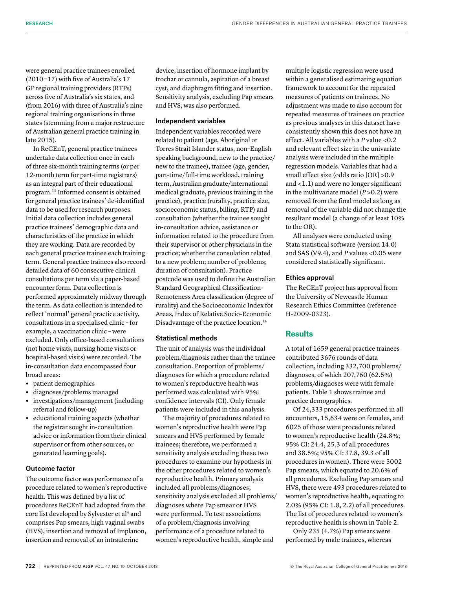were general practice trainees enrolled (2010−17) with five of Australia's 17 GP regional training providers (RTPs) across five of Australia's six states, and (from 2016) with three of Australia's nine regional training organisations in three states (stemming from a major restructure of Australian general practice training in late 2015).

In ReCEnT, general practice trainees undertake data collection once in each of three six-month training terms (or per 12-month term for part-time registrars) as an integral part of their educational program.13 Informed consent is obtained for general practice trainees' de-identified data to be used for research purposes. Initial data collection includes general practice trainees' demographic data and characteristics of the practice in which they are working. Data are recorded by each general practice trainee each training term. General practice trainees also record detailed data of 60 consecutive clinical consultations per term via a paper-based encounter form. Data collection is performed approximately midway through the term. As data collection is intended to reflect 'normal' general practice activity, consultations in a specialised clinic **–** for example, a vaccination clinic **–** were excluded. Only office-based consultations (not home visits, nursing home visits or hospital-based visits) were recorded. The in-consultation data encompassed four broad areas:

- **•** patient demographics
- **•** diagnoses/problems managed
- **•** investigations/management (including referral and follow-up)
- **•** educational training aspects (whether the registrar sought in-consultation advice or information from their clinical supervisor or from other sources, or generated learning goals).

# Outcome factor

The outcome factor was performance of a procedure related to women's reproductive health. This was defined by a list of procedures ReCEnT had adopted from the core list developed by Sylvester et al<sup>4</sup> and comprises Pap smears, high vaginal swabs (HVS), insertion and removal of Implanon, insertion and removal of an intrauterine

device, insertion of hormone implant by trochar or cannula, aspiration of a breast cyst, and diaphragm fitting and insertion. Sensitivity analysis, excluding Pap smears and HVS, was also performed.

# Independent variables

Independent variables recorded were related to patient (age, Aboriginal or Torres Strait Islander status, non–English speaking background, new to the practice/ new to the trainee), trainee (age, gender, part-time/full-time workload, training term, Australian graduate/international medical graduate, previous training in the practice), practice (rurality, practice size, socioeconomic status, billing, RTP) and consultation (whether the trainee sought in-consultation advice, assistance or information related to the procedure from their supervisor or other physicians in the practice; whether the consulation related to a new problem; number of problems; duration of consultation). Practice postcode was used to define the Australian Standard Geographical Classification-Remoteness Area classification (degree of rurality) and the Socioeconomic Index for Areas, Index of Relative Socio-Economic Disadvantage of the practice location.14

# Statistical methods

The unit of analysis was the individual problem/diagnosis rather than the trainee consultation. Proportion of problems/ diagnoses for which a procedure related to women's reproductive health was performed was calculated with 95% confidence intervals (CI). Only female patients were included in this analysis.

The majority of procedures related to women's reproductive health were Pap smears and HVS performed by female trainees; therefore, we performed a sensitivity analysis excluding these two procedures to examine our hypothesis in the other procedures related to women's reproductive health. Primary analysis included all problems/diagnoses; sensitivity analysis excluded all problems/ diagnoses where Pap smear or HVS were performed. To test associations of a problem/diagnosis involving performance of a procedure related to women's reproductive health, simple and

multiple logistic regression were used within a generalised estimating equation framework to account for the repeated measures of patients on trainees. No adjustment was made to also account for repeated measures of trainees on practice as previous analyses in this dataset have consistently shown this does not have an effect. All variables with a *P* value <0.2 and relevant effect size in the univariate analysis were included in the multiple regression models. Variables that had a small effect size (odds ratio [OR] >0.9 and <1.1) and were no longer significant in the multivariate model  $(P > 0.2)$  were removed from the final model as long as removal of the variable did not change the resultant model (a change of at least 10% to the OR).

All analyses were conducted using Stata statistical software (version 14.0) and SAS (V9.4), and *P* values <0.05 were considered statistically significant.

### Ethics approval

The ReCEnT project has approval from the University of Newcastle Human Research Ethics Committee (reference H-2009-0323).

# **Results**

A total of 1659 general practice trainees contributed 3676 rounds of data collection, including 332,700 problems/ diagnoses, of which 207,760 (62.5%) problems/diagnoses were with female patients. Table 1 shows trainee and practice demographics.

Of 24,333 procedures performed in all encounters, 15,634 were on females, and 6025 of those were procedures related to women's reproductive health (24.8%; 95% CI: 24.4, 25.3 of all procedures and 38.5%; 95% CI: 37.8, 39.3 of all procedures in women). There were 5002 Pap smears, which equated to 20.6% of all procedures. Excluding Pap smears and HVS, there were 493 procedures related to women's reproductive health, equating to 2.0% (95% CI: 1.8, 2.2) of all procedures. The list of procedures related to women's reproductive health is shown in Table 2.

Only 235 (4.7%) Pap smears were performed by male trainees, whereas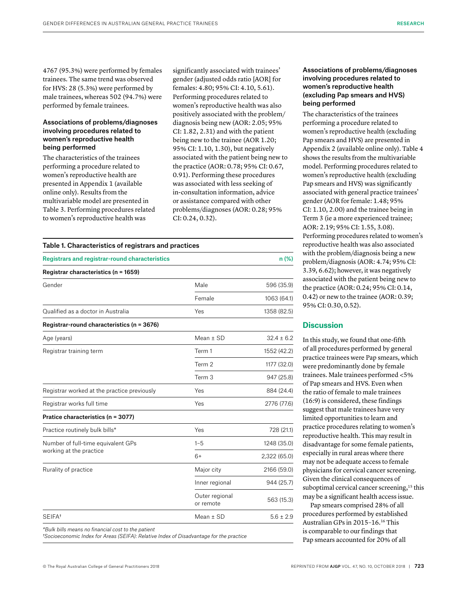4767 (95.3%) were performed by females trainees. The same trend was observed for HVS: 28 (5.3%) were performed by male trainees, whereas 502 (94.7%) were performed by female trainees.

# Associations of problems/diagnoses involving procedures related to women's reproductive health being performed

The characteristics of the trainees performing a procedure related to women's reproductive health are presented in Appendix 1 (available online only). Results from the multivariable model are presented in Table 3. Performing procedures related to women's reproductive health was

significantly associated with trainees' gender (adjusted odds ratio [AOR] for females: 4.80; 95% CI: 4.10, 5.61). Performing procedures related to women's reproductive health was also positively associated with the problem/ diagnosis being new (AOR: 2.05; 95% CI: 1.82, 2.31) and with the patient being new to the trainee (AOR 1.20; 95% CI: 1.10, 1.30), but negatively associated with the patient being new to the practice (AOR: 0.78; 95% CI: 0.67, 0.91). Performing these procedures was associated with less seeking of in-consultation information, advice or assistance compared with other problems/diagnoses (AOR: 0.28; 95% CI: 0.24, 0.32).

# Table 1. Characteristics of registrars and practices

| <b>Registrars and registrar-round characteristics</b> |                             | n(%)           |  |
|-------------------------------------------------------|-----------------------------|----------------|--|
| Registrar characteristics (n = 1659)                  |                             |                |  |
| Gender                                                | Male                        | 596 (35.9)     |  |
|                                                       | Female                      | 1063 (64.1)    |  |
| Qualified as a doctor in Australia                    | Yes                         | 1358 (82.5)    |  |
| Registrar-round characteristics (n = 3676)            |                             |                |  |
| Age (years)                                           | Mean $\pm$ SD               | $32.4 \pm 6.2$ |  |
| Registrar training term                               | Term 1                      | 1552 (42.2)    |  |
|                                                       | Term 2                      | 1177 (32.0)    |  |
|                                                       | Term 3                      | 947 (25.8)     |  |
| Registrar worked at the practice previously           | Yes                         | 884 (24.4)     |  |
| Registrar works full time                             | Yes                         | 2776 (77.6)    |  |
| Pratice characteristics (n = 3077)                    |                             |                |  |
| Practice routinely bulk bills*                        | Yes                         | 728 (21.1)     |  |
| Number of full-time equivalent GPs                    | $1 - 5$                     | 1248 (35.0)    |  |
| working at the practice                               | $6+$                        | 2,322 (65.0)   |  |
| Rurality of practice                                  | Major city                  | 2166 (59.0)    |  |
|                                                       | Inner regional              | 944 (25.7)     |  |
|                                                       | Outer regional<br>or remote | 563 (15.3)     |  |
| SEIFA <sup>t</sup>                                    | Mean $±$ SD                 | $5.6 \pm 2.9$  |  |
| *Bulk bills means no financial cost to the patient    |                             |                |  |

*†Socioeconomic Index for Areas (SEIFA): Relative Index of Disadvantage for the practice*

The characteristics of the trainees performing a procedure related to women's reproductive health (excluding Pap smears and HVS) are presented in Appendix 2 (available online only). Table 4 shows the results from the multivariable model. Performing procedures related to women's reproductive health (excluding Pap smears and HVS) was significantly associated with general practice trainees' gender (AOR for female: 1.48; 95% CI: 1.10, 2.00) and the trainee being in Term 3 (ie a more experienced trainee; AOR: 2.19; 95% CI: 1.55, 3.08). Performing procedures related to women's reproductive health was also associated with the problem/diagnosis being a new problem/diagnosis (AOR: 4.74; 95% CI: 3.39, 6.62); however, it was negatively associated with the patient being new to the practice (AOR: 0.24; 95% CI: 0.14, 0.42) or new to the trainee (AOR: 0.39; 95% CI: 0.30, 0.52).

# **Discussion**

In this study, we found that one-fifth of all procedures performed by general practice trainees were Pap smears, which were predominantly done by female trainees. Male trainees performed <5% of Pap smears and HVS. Even when the ratio of female to male trainees (16:9) is considered, these findings suggest that male trainees have very limited opportunities to learn and practice procedures relating to women's reproductive health. This may result in disadvantage for some female patients, especially in rural areas where there may not be adequate access to female physicians for cervical cancer screening. Given the clinical consequences of suboptimal cervical cancer screening,<sup>15</sup> this may be a significant health access issue.

Pap smears comprised 28% of all procedures performed by established Australian GPs in 2015–16.16 This is comparable to our findings that Pap smears accounted for 20% of all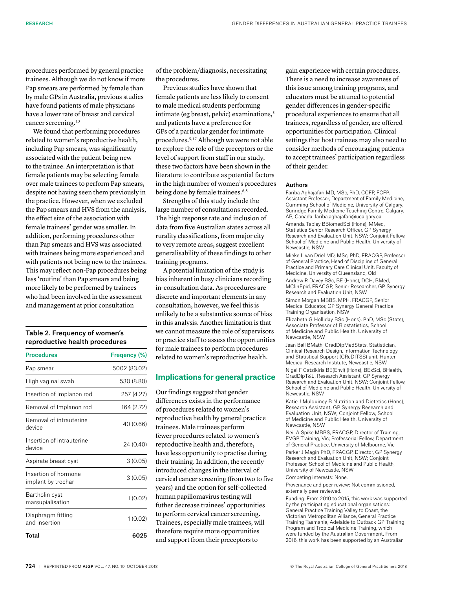procedures performed by general practice trainees. Although we do not know if more Pap smears are performed by female than by male GPs in Australia, previous studies have found patients of male physicians have a lower rate of breast and cervical cancer screening.10

We found that performing procedures related to women's reproductive health, including Pap smears, was significantly associated with the patient being new to the trainee. An interpretation is that female patients may be selecting female over male trainees to perform Pap smears, despite not having seen them previously in the practice. However, when we excluded the Pap smears and HVS from the analysis, the effect size of the association with female trainees' gender was smaller. In addition, performing procedures other than Pap smears and HVS was associated with trainees being more experienced and with patients not being new to the trainees. This may reflect non-Pap procedures being less 'routine' than Pap smears and being more likely to be performed by trainees who had been involved in the assessment and management at prior consultation

# Table 2. Frequency of women's reproductive health procedures

| <b>Procedures</b>                          | Fregency (%) |
|--------------------------------------------|--------------|
| Pap smear                                  | 5002 (83.02) |
| High vaginal swab                          | 530 (8.80)   |
| Insertion of Implanon rod                  | 257 (4.27)   |
| Removal of Implanon rod                    | 164 (2.72)   |
| Removal of intrauterine<br>device          | 40 (0.66)    |
| Insertion of intrauterine<br>device        | 24 (0.40)    |
| Aspirate breast cyst                       | 3(0.05)      |
| Insertion of hormone<br>implant by trochar | 3(0.05)      |
| Bartholin cyst<br>marsupialisation         | 1(0.02)      |
| Diaphragm fitting<br>and insertion         | 1(0.02)      |
| Total                                      | 6025         |

of the problem/diagnosis, necessitating the procedures.

Previous studies have shown that female patients are less likely to consent to male medical students performing intimate (eg breast, pelvic) examinations,<sup>5</sup> and patients have a preference for GPs of a particular gender for intimate procedures.5,17 Although we were not able to explore the role of the preceptors or the level of support from staff in our study, these two factors have been shown in the literature to contribute as potential factors in the high number of women's procedures being done by female trainees.<sup>6,8</sup>

Strengths of this study include the large number of consultations recorded. The high response rate and inclusion of data from five Australian states across all rurality classifications, from major city to very remote areas, suggest excellent generalisability of these findings to other training programs.

A potential limitation of the study is bias inherent in busy clinicians recording in-consultation data. As procedures are discrete and important elements in any consultation, however, we feel this is unlikely to be a substantive source of bias in this analysis. Another limitation is that we cannot measure the role of supervisors or practice staff to assess the opportunities for male trainees to perform procedures related to women's reproductive health.

# **Implications for general practice**

Our findings suggest that gender differences exists in the performance of procedures related to women's reproductive health by general practice trainees. Male trainees perform fewer procedures related to women's reproductive health and, therefore, have less opportunity to practise during their training. In addition, the recently introduced changes in the interval of cervical cancer screening (from two to five years) and the option for self-collected human papillomavirus testing will futher decrease trainees' opportunities to perform cervical cancer screening. Trainees, especially male trainees, will therefore require more opportunities and support from their preceptors to

gain experience with certain procedures. There is a need to increase awareness of this issue among training programs, and educators must be attuned to potential gender differences in gender-specific procedural experiences to ensure that all trainees, regardless of gender, are offered opportunities for participation. Clinical settings that host trainees may also need to consider methods of encouraging patients to accept trainees' participation regardless of their gender.

#### Authors

Fariba Aghajafari MD, MSc, PhD, CCFP, FCFP, Assistant Professor, Department of Family Medicine, Cumming School of Medicine, University of Calgary; Sunridge Family Medicine Teaching Centre, Calgary, AB, Canada. fariba.aghajafari@ucalgary.ca Amanda Tapley BBiomedSci (Hons), MMed, Statistics Senior Research Officer, GP Synergy Research and Evaluation Unit, NSW; Conjoint Fellow, School of Medicine and Public Health, University of Newcastle, NSW

Mieke L van Driel MD, MSc, PhD, FRACGP, Professor of General Practice, Head of Discipline of General Practice and Primary Care Clinical Unit, Faculty of Medicine, University of Queensland, Qld Andrew R Davey BSc, BE (Hons), DCH, BMed, MClinEpid, FRACGP, Senior Researcher, GP Synergy Research and Evaluation Unit, NSW

Simon Morgan MBBS, MPH, FRACGP, Senior Medical Educator, GP Synergy General Practice Training Organisation, NSW

Elizabeth G Holliday BSc (Hons), PhD, MSc (Stats), Associate Professor of Biostatistics, School of Medicine and Public Health, University of Newcastle, NSW

Jean Ball BMath, GradDipMedStats, Statistician, Clinical Research Design, Information Technology and Statistical Support (CReDITSS) unit, Hunter Medical Research Institute, Newcastle, NSW

Nigel F Catzikiris BE(Envl) (Hons), BExSci, BHealth, GradDipT&L, Research Assistant, GP Synergy Research and Evaluation Unit, NSW; Conjoint Fellow, School of Medicine and Public Health, University of Newcastle, NSW

Katie J Mulquiney B Nutrition and Dietetics (Hons), Research Assistant, GP Synergy Research and Evaluation Unit, NSW; Conjoint Fellow, School of Medicine and Public Health, University of Newcastle, NSW

Neil A Spike MBBS, FRACGP, Director of Training, EVGP Training, Vic; Professorial Fellow, Department of General Practice, University of Melbourne, Vic

Parker J Magin PhD, FRACGP, Director, GP Synergy Research and Evaluation Unit, NSW; Conjoint Professor, School of Medicine and Public Health, University of Newcastle, NSW Competing interests: None.

Provenance and peer review: Not commissioned, externally peer reviewed.

Funding: From 2010 to 2015, this work was supported by the participating educational organisations: General Practice Training Valley to Coast, the Victorian Metropolitan Alliance, General Practice Training Tasmania, Adelaide to Outback GP Training Program and Tropical Medicine Training, which were funded by the Australian Government. From 2016, this work has been supported by an Australian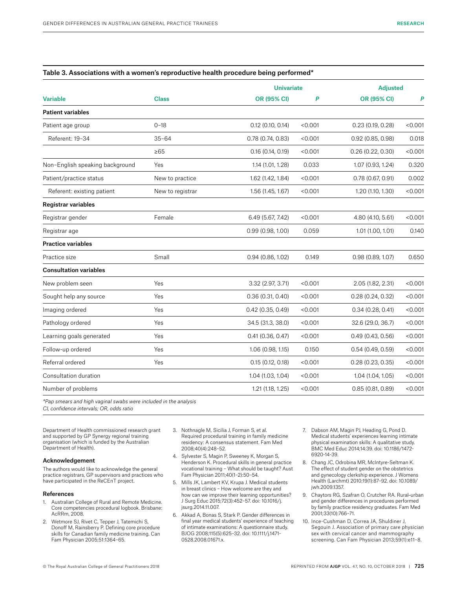# Table 3. Associations with a women's reproductive health procedure being performed\*

|                                 |                  | <b>Univariate</b>   |         | <b>Adjusted</b>     |         |
|---------------------------------|------------------|---------------------|---------|---------------------|---------|
| <b>Variable</b>                 | <b>Class</b>     | OR (95% CI)         | P       | OR (95% CI)         | P       |
| <b>Patient variables</b>        |                  |                     |         |                     |         |
| Patient age group               | $0 - 18$         | $0.12$ (0.10, 0.14) | < 0.001 | 0.23 (0.19, 0.28)   | < 0.001 |
| Referent: 19-34                 | $35 - 64$        | 0.78(0.74, 0.83)    | < 0.001 | $0.92$ (0.85, 0.98) | 0.018   |
|                                 | $\geq 65$        | 0.16(0.14, 0.19)    | < 0.001 | 0.26(0.22, 0.30)    | < 0.001 |
| Non-English speaking background | Yes              | 1.14 (1.01, 1.28)   | 0.033   | 1.07 (0.93, 1.24)   | 0.320   |
| Patient/practice status         | New to practice  | 1.62 (1.42, 1.84)   | < 0.001 | 0.78(0.67, 0.91)    | 0.002   |
| Referent: existing patient      | New to registrar | 1.56 (1.45, 1.67)   | < 0.001 | 1.20 (1.10, 1.30)   | < 0.001 |
| <b>Registrar variables</b>      |                  |                     |         |                     |         |
| Registrar gender                | Female           | 6.49 (5.67, 7.42)   | < 0.001 | 4.80 (4.10, 5.61)   | < 0.001 |
| Registrar age                   |                  | 0.99(0.98, 1.00)    | 0.059   | 1.01 (1.00, 1.01)   | 0.140   |
| <b>Practice variables</b>       |                  |                     |         |                     |         |
| Practice size                   | Small            | 0.94(0.86, 1.02)    | 0.149   | 0.98(0.89, 1.07)    | 0.650   |
| <b>Consultation variables</b>   |                  |                     |         |                     |         |
| New problem seen                | Yes              | 3.32 (2.97, 3.71)   | < 0.001 | 2.05 (1.82, 2.31)   | < 0.001 |
| Sought help any source          | Yes              | 0.36(0.31, 0.40)    | < 0.001 | 0.28(0.24, 0.32)    | < 0.001 |
| Imaging ordered                 | Yes              | $0.42$ (0.35, 0.49) | < 0.001 | 0.34(0.28, 0.41)    | < 0.001 |
| Pathology ordered               | Yes              | 34.5 (31.3, 38.0)   | < 0.001 | 32.6 (29.0, 36.7)   | < 0.001 |
| Learning goals generated        | Yes              | 0.41(0.36, 0.47)    | < 0.001 | 0.49(0.43, 0.56)    | < 0.001 |
| Follow-up ordered               | Yes              | 1.06 (0.98, 1.15)   | 0.150   | 0.54(0.49, 0.59)    | < 0.001 |
| Referral ordered                | Yes              | 0.15(0.12, 0.18)    | < 0.001 | 0.28(0.23, 0.35)    | < 0.001 |
| Consultation duration           |                  | 1.04 (1.03, 1.04)   | < 0.001 | 1.04 (1.04, 1.05)   | < 0.001 |
| Number of problems              |                  | 1.21(1.18, 1.25)    | < 0.001 | 0.85(0.81, 0.89)    | < 0.001 |

*\*Pap smears and high vaginal swabs were included in the analysis CI, confidence intervals; OR, odds ratio*

Department of Health commissioned research grant and supported by GP Synergy regional training organisation (which is funded by the Australian Department of Health).

#### Acknowledgement

The authors would like to acknowledge the general practice registrars, GP supervisors and practices who have participated in the ReCEnT project.

#### References

- 1. Australian College of Rural and Remote Medicine. Core competencies procedural logbook. Brisbane: AcRRm, 2008.
- 2. Wetmore SJ, Rivet C, Tepper J, Tatemichi S, Donoff M, Rainsberry P. Defining core procedure skills for Canadian family medicine training. Can Fam Physician 2005;51:1364–65.
- 3. Nothnagle M, Sicilia J, Forman S, et al. Required procedural training in family medicine residency: A consensus statement. Fam Med 2008;40(4):248–52.
- 4. Sylvester S, Magin P, Sweeney K, Morgan S, Henderson K. Procedural skills in general practice vocational training – What should be taught? Aust Fam Physician 2011;40(1–2):50–54.
- 5. Mills JK, Lambert KV, Krupa J. Medical students in breast clinics – How welcome are they and how can we improve their learning opportunities? J Surg Educ 2015;72(3):452–57. doi: 10.1016/j. jsurg.2014.11.007.
- 6. Akkad A, Bonas S, Stark P. Gender differences in final year medical students' experience of teaching of intimate examinations: A questionnaire study. BJOG 2008;115(5):625–32. doi: 10.1111/j.1471- 0528.2008.01671.x.
- 7. Dabson AM, Magin PJ, Heading G, Pond D. Medical students' experiences learning intimate physical examination skills: A qualitative study. BMC Med Educ 2014;14:39. doi: 10.1186/1472- 6920-14-39.
- 8. Chang JC, Odrobina MR, McIntyre-Seltman K. The effect of student gender on the obstetrics and gynecology clerkship experience. J Womens Health (Larchmt) 2010;19(1):87–92. doi: 10.1089/ jwh.2009.1357.
- 9. Chaytors RG, Szafran O, Crutcher RA. Rural**–**urban and gender differences in procedures performed by family practice residency graduates. Fam Med 2001;33(10):766–71.
- 10. Ince-Cushman D, Correa JA, Shuldiner J, Segouin J. Association of primary care physician sex with cervical cancer and mammography screening. Can Fam Physician 2013;59(1):e11–8.